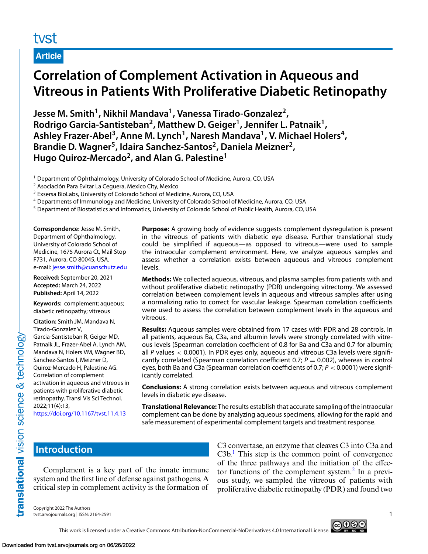## tyst

**Article**

# **Correlation of Complement Activation in Aqueous and Vitreous in Patients With Proliferative Diabetic Retinopathy**

**Jesse M. Smith1, Nikhil Mandava1, Vanessa Tirado-Gonzalez2,** Rodrigo Garcia-Santisteban<sup>2</sup>, Matthew D. Geiger<sup>1</sup>, Jennifer L. Patnaik<sup>1</sup>, Ashley Frazer-Abel<sup>3</sup>, Anne M. Lynch<sup>1</sup>, Naresh Mandava<sup>1</sup>, V. Michael Holers<sup>4</sup>, **Brandie D. Wagner5, Idaira Sanchez-Santos2, Daniela Meizner2, Hugo Quiroz-Mercado2, and Alan G. Palestine1**

<sup>1</sup> Department of Ophthalmology, University of Colorado School of Medicine, Aurora, CO, USA

<sup>2</sup> Asociación Para Evitar La Ceguera, Mexico City, Mexico

<sup>3</sup> Exsersa BioLabs, University of Colorado School of Medicine, Aurora, CO, USA

<sup>4</sup> Departments of Immunology and Medicine, University of Colorado School of Medicine, Aurora, CO, USA

<sup>5</sup> Department of Biostatistics and Informatics, University of Colorado School of Public Health, Aurora, CO, USA

**Correspondence:** Jesse M. Smith, Department of Ophthalmology, University of Colorado School of Medicine, 1675 Aurora Ct, Mail Stop F731, Aurora, CO 80045, USA. e-mail: [jesse.smith@cuanschutz.edu](mailto:jesse.smith@cuanschutz.edu)

**Received:** September 20, 2021 **Accepted:** March 24, 2022 **Published:** April 14, 2022

**Keywords:** complement; aqueous; diabetic retinopathy; vitreous

**Citation:** Smith JM, Mandava N, Tirado-Gonzalez V, Garcia-Santisteban R, Geiger MD, Patnaik JL, Frazer-Abel A, Lynch AM, Mandava N, Holers VM, Wagner BD, Sanchez-Santos I, Meizner D, Quiroz-Mercado H, Palestine AG. Correlation of complement activation in aqueous and vitreous in patients with proliferative diabetic retinopathy. Transl Vis Sci Technol. 2022;11(4):13,

<https://doi.org/10.1167/tvst.11.4.13>

**Purpose:** A growing body of evidence suggests complement dysregulation is present in the vitreous of patients with diabetic eye disease. Further translational study could be simplified if aqueous—as opposed to vitreous—were used to sample the intraocular complement environment. Here, we analyze aqueous samples and assess whether a correlation exists between aqueous and vitreous complement levels.

**Methods:** We collected aqueous, vitreous, and plasma samples from patients with and without proliferative diabetic retinopathy (PDR) undergoing vitrectomy. We assessed correlation between complement levels in aqueous and vitreous samples after using a normalizing ratio to correct for vascular leakage. Spearman correlation coefficients were used to assess the correlation between complement levels in the aqueous and vitreous.

**Results:** Aqueous samples were obtained from 17 cases with PDR and 28 controls. In all patients, aqueous Ba, C3a, and albumin levels were strongly correlated with vitreous levels (Spearman correlation coefficient of 0.8 for Ba and C3a and 0.7 for albumin; all *P* values < 0.0001). In PDR eyes only, aqueous and vitreous C3a levels were significantly correlated (Spearman correlation coefficient 0.7; *<sup>P</sup>* <sup>=</sup> 0.002), whereas in control eyes, both Ba and C3a (Spearman correlation coefficients of 0.7; *P* < 0.0001) were significantly correlated.

**Conclusions:** A strong correlation exists between aqueous and vitreous complement levels in diabetic eye disease.

**Translational Relevance:** The results establish that accurate sampling of the intraocular complement can be done by analyzing aqueous specimens, allowing for the rapid and safe measurement of experimental complement targets and treatment response.

## **Introduction**

translational vision science & technology

Complement is a key part of the innate immune system and the first line of defense against pathogens. A critical step in complement activity is the formation of

C3 convertase, an enzyme that cleaves C3 into C3a and  $C3b$ .<sup>[1](#page-6-0)</sup> This step is the common point of convergence of the three pathways and the initiation of the effector functions of the complement system. $<sup>2</sup>$  In a previ-</sup> ous study, we sampled the vitreous of patients with proliferative diabetic retinopathy (PDR) and found two

Copyright 2022 The Authors tvst.arvojournals.org | ISSN: 2164-2591 1

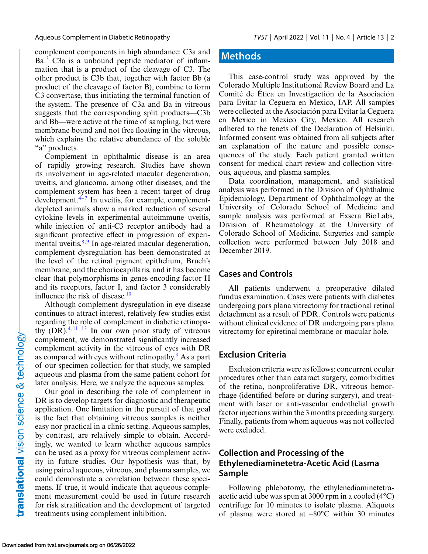Aqueous Complement in Diabetic Retinopathy *TVST* | April 2022 | Vol. 11 | No. 4 | Article 13 | 2

complement components in high abundance: C3a and Ba.<sup>[3](#page-6-0)</sup> C3a is a unbound peptide mediator of inflammation that is a product of the cleavage of C3. The other product is C3b that, together with factor Bb (a product of the cleavage of factor B), combine to form C3 convertase, thus initiating the terminal function of the system. The presence of C3a and Ba in vitreous suggests that the corresponding split products—C3b and Bb—were active at the time of sampling, but were membrane bound and not free floating in the vitreous, which explains the relative abundance of the soluble "a" products.

Complement in ophthalmic disease is an area of rapidly growing research. Studies have shown its involvement in age-related macular degeneration, uveitis, and glaucoma, among other diseases, and the complement system has been a recent target of drug development. $4-7$  In uveitis, for example, complementdepleted animals show a marked reduction of several cytokine levels in experimental autoimmune uveitis, while injection of anti-C3 receptor antibody had a significant protective effect in progression of experimental uveitis. $8,9$  In age-related macular degeneration, complement dysregulation has been demonstrated at the level of the retinal pigment epithelium, Bruch's membrane, and the choriocapillaris, and it has become clear that polymorphisms in genes encoding factor H and its receptors, factor I, and factor 3 considerably influence the risk of disease.<sup>10</sup>

Although complement dysregulation in eye disease continues to attract interest, relatively few studies exist regarding the role of complement in diabetic retinopathy  $(DR)$ <sup>[4,11–13](#page-6-0)</sup> In our own prior study of vitreous complement, we demonstrated significantly increased complement activity in the vitreous of eyes with DR as compared with eyes without retinopathy. $3$  As a part of our specimen collection for that study, we sampled aqueous and plasma from the same patient cohort for later analysis. Here, we analyze the aqueous samples.

Our goal in describing the role of complement in DR is to develop targets for diagnostic and therapeutic application. One limitation in the pursuit of that goal is the fact that obtaining vitreous samples is neither easy nor practical in a clinic setting. Aqueous samples, by contrast, are relatively simple to obtain. Accordingly, we wanted to learn whether aqueous samples can be used as a proxy for vitreous complement activity in future studies. Our hypothesis was that, by using paired aqueous, vitreous, and plasma samples, we could demonstrate a correlation between these specimens. If true, it would indicate that aqueous complement measurement could be used in future research for risk stratification and the development of targeted treatments using complement inhibition.

### **Methods**

This case-control study was approved by the Colorado Multiple Institutional Review Board and La Comité de Ética en Investigactión de la Asociación para Evitar la Ceguera en Mexico, IAP. All samples were collected at the Asociación para Evitar la Ceguera en Mexico in Mexico City, Mexico. All research adhered to the tenets of the Declaration of Helsinki. Informed consent was obtained from all subjects after an explanation of the nature and possible consequences of the study. Each patient granted written consent for medical chart review and collection vitreous, aqueous, and plasma samples.

Data coordination, management, and statistical analysis was performed in the Division of Ophthalmic Epidemiology, Department of Ophthalmology at the University of Colorado School of Medicine and sample analysis was performed at Exsera BioLabs, Division of Rheumatology at the University of Colorado School of Medicine. Surgeries and sample collection were performed between July 2018 and December 2019.

### **Cases and Controls**

All patients underwent a preoperative dilated fundus examination. Cases were patients with diabetes undergoing pars plana vitrectomy for tractional retinal detachment as a result of PDR. Controls were patients without clinical evidence of DR undergoing pars plana vitrectomy for epiretinal membrane or macular hole.

### **Exclusion Criteria**

Exclusion criteria were as follows: concurrent ocular procedures other than cataract surgery, comorbidities of the retina, nonproliferative DR, vitreous hemorrhage (identified before or during surgery), and treatment with laser or anti-vascular endothelial growth factor injections within the 3 months preceding surgery. Finally, patients from whom aqueous was not collected were excluded.

### **Collection and Processing of the Ethylenediaminetetra-Acetic Acid (Lasma Sample**

Following phlebotomy, the ethylenediaminetetraacetic acid tube was spun at 3000 rpm in a cooled (4°C) centrifuge for 10 minutes to isolate plasma. Aliquots of plasma were stored at –80°C within 30 minutes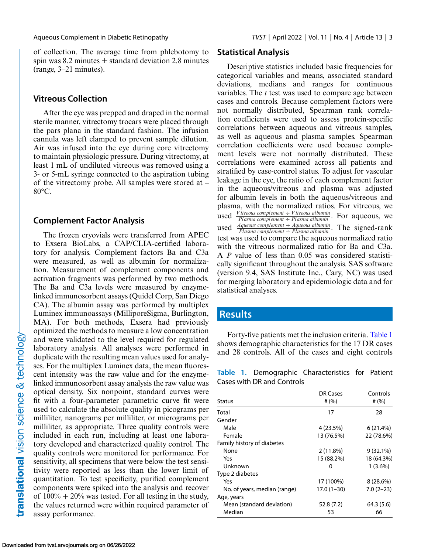of collection. The average time from phlebotomy to spin was 8.2 minutes  $\pm$  standard deviation 2.8 minutes (range, 3–21 minutes).

#### **Vitreous Collection**

After the eye was prepped and draped in the normal sterile manner, vitrectomy trocars were placed through the pars plana in the standard fashion. The infusion cannula was left clamped to prevent sample dilution. Air was infused into the eye during core vitrectomy to maintain physiologic pressure. During vitrectomy, at least 1 mL of undiluted vitreous was removed using a 3- or 5-mL syringe connected to the aspiration tubing of the vitrectomy probe. All samples were stored at – 80°C.

#### **Complement Factor Analysis**

The frozen cryovials were transferred from APEC to Exsera BioLabs, a CAP/CLIA-certified laboratory for analysis. Complement factors Ba and C3a were measured, as well as albumin for normalization. Measurement of complement components and activation fragments was performed by two methods. The Ba and C3a levels were measured by enzymelinked immunosorbent assays (Quidel Corp, San Diego CA). The albumin assay was performed by multiplex Luminex immunoassays (MilliporeSigma, Burlington, MA). For both methods, Exsera had previously optimized the methods to measure a low concentration and were validated to the level required for regulated laboratory analysis. All analyses were performed in duplicate with the resulting mean values used for analyses. For the multiplex Luminex data, the mean fluorescent intensity was the raw value and for the enzymelinked immunosorbent assay analysis the raw value was optical density. Six nonpoint, standard curves were fit with a four-parameter parametric curve fit were used to calculate the absolute quality in picograms per milliliter, nanograms per milliliter, or micrograms per milliliter, as appropriate. Three quality controls were included in each run, including at least one laboratory developed and characterized quality control. The quality controls were monitored for performance. For sensitivity, all specimens that were below the test sensitivity were reported as less than the lower limit of quantitation. To test specificity, purified complement components were spiked into the analysis and recover of  $100\% + 20\%$  was tested. For all testing in the study, the values returned were within required parameter of assay performance.

### **Statistical Analysis**

Descriptive statistics included basic frequencies for categorical variables and means, associated standard deviations, medians and ranges for continuous variables. The *t* test was used to compare age between cases and controls. Because complement factors were not normally distributed, Spearman rank correlation coefficients were used to assess protein-specific correlations between aqueous and vitreous samples, as well as aqueous and plasma samples. Spearman correlation coefficients were used because complement levels were not normally distributed. These correlations were examined across all patients and stratified by case-control status. To adjust for vascular leakage in the eye, the ratio of each complement factor in the aqueous/vitreous and plasma was adjusted for albumin levels in both the aqueous/vitreous and plasma, with the normalized ratios. For vitreous, we used *Vitreous complement* <sup>÷</sup> *Vitreous albumin Plasma complement* <sup>÷</sup> *Plasma albumin* . For aqueous, we used  $\frac{Aqueous complement \div Aqueous albumin}{Plasma complement \div Plasma}$ . The signed-rank test was used to compare the aqueous normalized ratio with the vitreous normalized ratio for Ba and C3a. A *P* value of less than 0.05 was considered statistically significant throughout the analysis. SAS software (version 9.4, SAS Institute Inc., Cary, NC) was used for merging laboratory and epidemiologic data and for statistical analyses.

### **Results**

Forty-five patients met the inclusion criteria. Table 1 shows demographic characteristics for the 17 DR cases and 28 controls. All of the cases and eight controls

**Table 1.** Demographic Characteristics for Patient Cases with DR and Controls

|                              | DR Cases     | Controls    |  |
|------------------------------|--------------|-------------|--|
| <b>Status</b>                | # $(% )$     | # $(% )$    |  |
| Total                        | 17           | 28          |  |
| Gender                       |              |             |  |
| Male                         | 4 (23.5%)    | 6(21.4%)    |  |
| Female                       | 13 (76.5%)   | 22 (78.6%)  |  |
| Family history of diabetes   |              |             |  |
| None                         | $2(11.8\%)$  | $9(32.1\%)$ |  |
| Yes                          | 15 (88.2%)   | 18 (64.3%)  |  |
| Unknown                      | 0            | $1(3.6\%)$  |  |
| Type 2 diabetes              |              |             |  |
| Yes                          | 17 (100%)    | $8(28.6\%)$ |  |
| No. of years, median (range) | $17.0(1-30)$ | $7.0(2-23)$ |  |
| Age, years                   |              |             |  |
| Mean (standard deviation)    | 52.8(7.2)    | 64.3 (5.6)  |  |
| Median                       | 53           | 66          |  |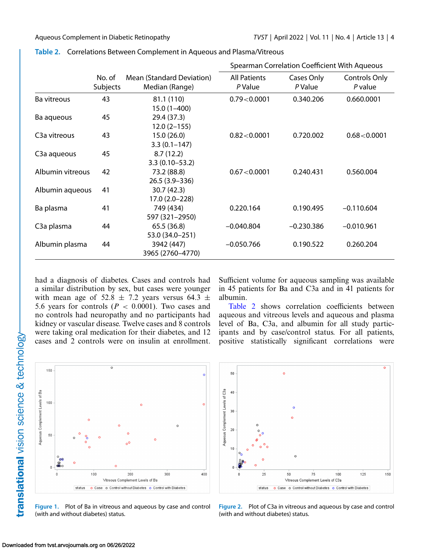|                           |                    |                                             | Spearman Correlation Coefficient With Aqueous |                       |                          |
|---------------------------|--------------------|---------------------------------------------|-----------------------------------------------|-----------------------|--------------------------|
|                           | No. of<br>Subjects | Mean (Standard Deviation)<br>Median (Range) | <b>All Patients</b><br>P Value                | Cases Only<br>P Value | Controls Only<br>P value |
| Ba vitreous               | 43                 | 81.1 (110)<br>$15.0(1 - 400)$               | 0.79<0.0001                                   | 0.340.206             | 0.660.0001               |
| Ba aqueous                | 45                 | 29.4 (37.3)<br>$12.0(2-155)$                |                                               |                       |                          |
| C <sub>3</sub> a vitreous | 43                 | 15.0(26.0)<br>$3.3(0.1 - 147)$              | $0.82\textless 0.0001$                        | 0.720.002             | 0.68<0.0001              |
| C <sub>3</sub> a aqueous  | 45                 | 8.7(12.2)<br>$3.3(0.10 - 53.2)$             |                                               |                       |                          |
| Albumin vitreous          | 42                 | 73.2 (88.8)<br>26.5 (3.9 - 336)             | 0.67<0.0001                                   | 0.240.431             | 0.560.004                |
| Albumin aqueous           | 41                 | 30.7 (42.3)<br>17.0 (2.0-228)               |                                               |                       |                          |
| Ba plasma                 | 41                 | 749 (434)<br>597 (321-2950)                 | 0.220.164                                     | 0.190.495             | $-0.110.604$             |
| C <sub>3</sub> a plasma   | 44                 | 65.5 (36.8)<br>53.0 (34.0-251)              | $-0.040.804$                                  | $-0.230.386$          | $-0.010.961$             |
| Albumin plasma            | 44                 | 3942 (447)<br>3965 (2760-4770)              | $-0.050.766$                                  | 0.190.522             | 0.260.204                |

<span id="page-3-0"></span>

|  | Table 2. Correlations Between Complement in Aqueous and Plasma/Vitreous |  |  |  |
|--|-------------------------------------------------------------------------|--|--|--|
|--|-------------------------------------------------------------------------|--|--|--|

had a diagnosis of diabetes. Cases and controls had a similar distribution by sex, but cases were younger with mean age of 52.8  $\pm$  7.2 years versus 64.3  $\pm$ 5.6 years for controls  $(P < 0.0001)$ . Two cases and no controls had neuropathy and no participants had kidney or vascular disease. Twelve cases and 8 controls were taking oral medication for their diabetes, and 12 cases and 2 controls were on insulin at enrollment.

Sufficient volume for aqueous sampling was available in 45 patients for Ba and C3a and in 41 patients for albumin.

Table 2 shows correlation coefficients between aqueous and vitreous levels and aqueous and plasma level of Ba, C3a, and albumin for all study participants and by case/control status. For all patients, positive statistically significant correlations were



**Figure 1.** Plot of Ba in vitreous and aqueous by case and control (with and without diabetes) status.



**Figure 2.** Plot of C3a in vitreous and aqueous by case and control (with and without diabetes) status.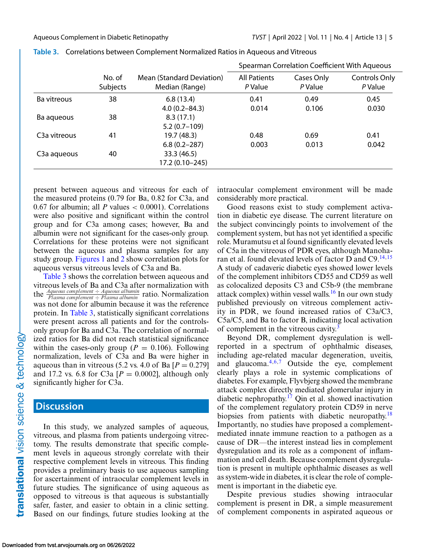|                           |                    |                                             | Spearman Correlation Coefficient With Aqueous |                       |                                 |
|---------------------------|--------------------|---------------------------------------------|-----------------------------------------------|-----------------------|---------------------------------|
|                           | No. of<br>Subjects | Mean (Standard Deviation)<br>Median (Range) | <b>All Patients</b><br>P Value                | Cases Only<br>P Value | <b>Controls Only</b><br>P Value |
| Ba vitreous               | 38                 | 6.8(13.4)<br>$4.0(0.2 - 84.3)$              | 0.41<br>0.014                                 | 0.49<br>0.106         | 0.45<br>0.030                   |
| Ba aqueous                | 38                 | 8.3(17.1)<br>$5.2(0.7-109)$                 |                                               |                       |                                 |
| C <sub>3</sub> a vitreous | 41                 | 19.7 (48.3)<br>$6.8(0.2 - 287)$             | 0.48<br>0.003                                 | 0.69<br>0.013         | 0.41<br>0.042                   |
| C <sub>3</sub> a aqueous  | 40                 | 33.3 (46.5)<br>17.2 (0.10-245)              |                                               |                       |                                 |

| Table 3. Correlations between Complement Normalized Ratios in Aqueous and Vitreous |  |  |
|------------------------------------------------------------------------------------|--|--|
|                                                                                    |  |  |

present between aqueous and vitreous for each of the measured proteins (0.79 for Ba, 0.82 for C3a, and 0.67 for albumin; all  $P$  values  $<$  0.0001). Correlations were also positive and significant within the control group and for C3a among cases; however, Ba and albumin were not significant for the cases-only group. Correlations for these proteins were not significant between the aqueous and plasma samples for any study group. [Figures 1](#page-3-0) and [2](#page-3-0) show correlation plots for aqueous versus vitreous levels of C3a and Ba.

Table 3 shows the correlation between aqueous and vitreous levels of Ba and C3a after normalization with the *Aqueous complement* <sup>÷</sup> *Aqueous albumin Plasma complement* <sup>÷</sup> *Plasma albumin* ratio. Normalization was not done for albumin because it was the reference protein. In Table 3, statistically significant correlations were present across all patients and for the controlsonly group for Ba and C3a. The correlation of normalized ratios for Ba did not reach statistical significance within the cases-only group ( $P = 0.106$ ). Following normalization, levels of C3a and Ba were higher in aqueous than in vitreous (5.2 vs. 4.0 of Ba  $[P = 0.279]$ ) and 17.2 vs. 6.8 for C3a  $[P = 0.0002]$ , although only significantly higher for C3a.

#### **Discussion**

In this study, we analyzed samples of aqueous, vitreous, and plasma from patients undergoing vitrectomy. The results demonstrate that specific complement levels in aqueous strongly correlate with their respective complement levels in vitreous. This finding provides a preliminary basis to use aqueous sampling for ascertainment of intraocular complement levels in future studies. The significance of using aqueous as opposed to vitreous is that aqueous is substantially safer, faster, and easier to obtain in a clinic setting. Based on our findings, future studies looking at the intraocular complement environment will be made considerably more practical.

Good reasons exist to study complement activation in diabetic eye disease. The current literature on the subject convincingly points to involvement of the complement system, but has not yet identified a specific role. Muramutsu et al found significantly elevated levels of C5a in the vitreous of PDR eyes, although Manoharan et al. found elevated levels of factor D and  $C9$ .<sup>14,15</sup> A study of cadaveric diabetic eyes showed lower levels of the complement inhibitors CD55 and CD59 as well as colocalized deposits C3 and C5b-9 (the membrane attack complex) within vessel walls.<sup>16</sup> In our own study published previously on vitreous complement activity in PDR, we found increased ratios of C3a/C3, C5a/C5, and Ba to factor B, indicating local activation of complement in the vitreous cavity.<sup>[3](#page-6-0)</sup>

Beyond DR, complement dysregulation is wellreported in a spectrum of ophthalmic diseases, including age-related macular degeneration, uveitis, and glaucoma. $4,6,7$  Outside the eye, complement clearly plays a role in systemic complications of diabetes. For example, Flyvbjerg showed the membrane attack complex directly mediated glomerular injury in diabetic nephropathy.<sup>[17](#page-6-0)</sup> Qin et al. showed inactivation of the complement regulatory protein CD59 in nerve biopsies from patients with diabetic neuropathy.<sup>[18](#page-6-0)</sup> Importantly, no studies have proposed a complementmediated innate immune reaction to a pathogen as a cause of DR—the interest instead lies in complement dysregulation and its role as a component of inflammation and cell death. Because complement dysregulation is present in multiple ophthalmic diseases as well as system-wide in diabetes, it is clear the role of complement is important in the diabetic eye.

Despite previous studies showing intraocular complement is present in DR, a simple measurement of complement components in aspirated aqueous or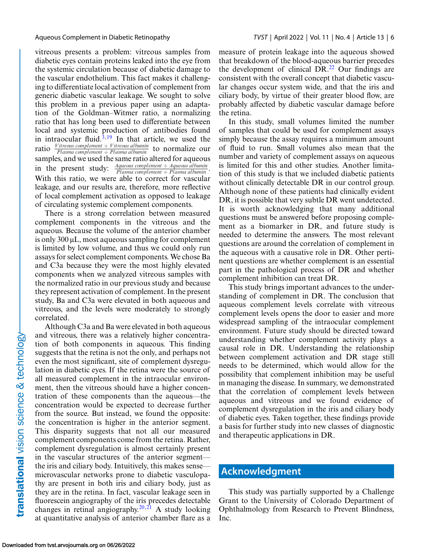vitreous presents a problem: vitreous samples from diabetic eyes contain proteins leaked into the eye from the systemic circulation because of diabetic damage to the vascular endothelium. This fact makes it challenging to differentiate local activation of complement from generic diabetic vascular leakage. We sought to solve this problem in a previous paper using an adaptation of the Goldman–Witmer ratio, a normalizing ratio that has long been used to differentiate between local and systemic production of antibodies found in intraocular fluid. $3,19$  In that article, we used the ratio *Vitreous complement* <sup>÷</sup> *Vitreous albumin Plasma complement* <sup>÷</sup> *Plasma albumin* to normalize our samples, and we used the same ratio altered for aqueous in the present study: *Aqueous complement* <sup>÷</sup> *Aqueous albumin Plasma complement* <sup>÷</sup> *Plasma albumin* . With this ratio, we were able to correct for vascular leakage, and our results are, therefore, more reflective of local complement activation as opposed to leakage of circulating systemic complement components.

There is a strong correlation between measured complement components in the vitreous and the aqueous. Because the volume of the anterior chamber is only 300 μL, most aqueous sampling for complement is limited by low volume, and thus we could only run assays for select complement components. We chose Ba and C3a because they were the most highly elevated components when we analyzed vitreous samples with the normalized ratio in our previous study and because they represent activation of complement. In the present study, Ba and C3a were elevated in both aqueous and vitreous, and the levels were moderately to strongly correlated.

Although C3a and Ba were elevated in both aqueous and vitreous, there was a relatively higher concentration of both components in aqueous. This finding suggests that the retina is not the only, and perhaps not even the most significant, site of complement dysregulation in diabetic eyes. If the retina were the source of all measured complement in the intraocular environment, then the vitreous should have a higher concentration of these components than the aqueous—the concentration would be expected to decrease further from the source. But instead, we found the opposite: the concentration is higher in the anterior segment. This disparity suggests that not all our measured complement components come from the retina. Rather, complement dysregulation is almost certainly present in the vascular structures of the anterior segment the iris and ciliary body. Intuitively, this makes sense microvascular networks prone to diabetic vasculopathy are present in both iris and ciliary body, just as they are in the retina. In fact, vascular leakage seen in fluorescein angiography of the iris precedes detectable changes in retinal angiography.<sup>[20,21](#page-6-0)</sup> A study looking at quantitative analysis of anterior chamber flare as a measure of protein leakage into the aqueous showed that breakdown of the blood-aqueous barrier precedes the development of clinical  $DR<sup>22</sup>$  Our findings are consistent with the overall concept that diabetic vascular changes occur system wide, and that the iris and ciliary body, by virtue of their greater blood flow, are probably affected by diabetic vascular damage before the retina.

In this study, small volumes limited the number of samples that could be used for complement assays simply because the assay requires a minimum amount of fluid to run. Small volumes also mean that the number and variety of complement assays on aqueous is limited for this and other studies. Another limitation of this study is that we included diabetic patients without clinically detectable DR in our control group. Although none of these patients had clinically evident DR, it is possible that very subtle DR went undetected. It is worth acknowledging that many additional questions must be answered before proposing complement as a biomarker in DR, and future study is needed to determine the answers. The most relevant questions are around the correlation of complement in the aqueous with a causative role in DR. Other pertinent questions are whether complement is an essential part in the pathological process of DR and whether complement inhibition can treat DR.

This study brings important advances to the understanding of complement in DR. The conclusion that aqueous complement levels correlate with vitreous complement levels opens the door to easier and more widespread sampling of the intraocular complement environment. Future study should be directed toward understanding whether complement activity plays a causal role in DR. Understanding the relationship between complement activation and DR stage still needs to be determined, which would allow for the possibility that complement inhibition may be useful in managing the disease. In summary, we demonstrated that the correlation of complement levels between aqueous and vitreous and we found evidence of complement dysregulation in the iris and ciliary body of diabetic eyes. Taken together, these findings provide a basis for further study into new classes of diagnostic and therapeutic applications in DR.

#### **Acknowledgment**

This study was partially supported by a Challenge Grant to the University of Colorado Department of Ophthalmology from Research to Prevent Blindness, Inc.